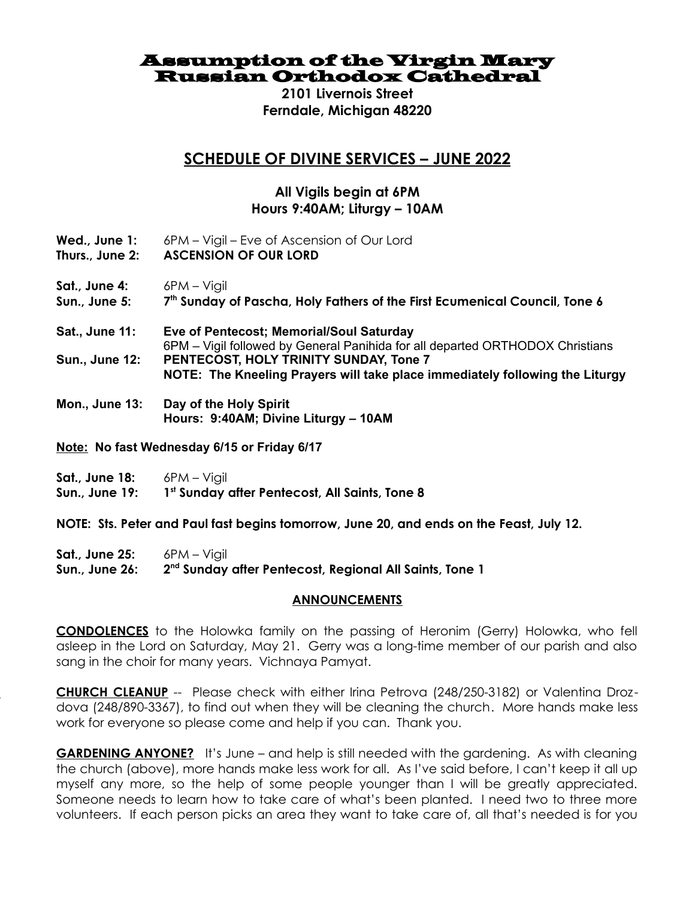Assumption of the Virgin Mary Russian Orthodox Cathedral

> **2101 Livernois Street Ferndale, Michigan 48220**

## **SCHEDULE OF DIVINE SERVICES – JUNE 2022**

## **All Vigils begin at 6PM Hours 9:40AM; Liturgy – 10AM**

- **Wed., June 1:** 6PM Vigil Eve of Ascension of Our Lord
- **Thurs., June 2: ASCENSION OF OUR LORD**
- Sat., June 4: 6PM Vigil
- **Sun., June 5: 7 th Sunday of Pascha, Holy Fathers of the First Ecumenical Council, Tone 6**
- **Sat., June 11: Eve of Pentecost; Memorial/Soul Saturday**  6PM – Vigil followed by General Panihida for all departed ORTHODOX Christians **Sun., June 12: PENTECOST, HOLY TRINITY SUNDAY, Tone 7 NOTE: The Kneeling Prayers will take place immediately following the Liturgy**
- **Mon., June 13: Day of the Holy Spirit Hours: 9:40AM; Divine Liturgy – 10AM**
- **Note: No fast Wednesday 6/15 or Friday 6/17**
- **Sat., June 18:** 6PM Vigil **Sun., June 19: 1 st Sunday after Pentecost, All Saints, Tone 8**

**NOTE: Sts. Peter and Paul fast begins tomorrow, June 20, and ends on the Feast, July 12.**

**Sat., June 25:** 6PM – Vigil **Sun., June 26: 2 nd Sunday after Pentecost, Regional All Saints, Tone 1**

## **ANNOUNCEMENTS**

**CONDOLENCES** to the Holowka family on the passing of Heronim (Gerry) Holowka, who fell asleep in the Lord on Saturday, May 21. Gerry was a long-time member of our parish and also sang in the choir for many years. Vichnaya Pamyat.

**CHURCH CHURCH CLEANUP** -- Please check with either Irina Petrova (248/250-3182) or Valentina Drozdova (248/890-3367), to find out when they will be cleaning the church. More hands make less work for everyone so please come and help if you can. Thank you.

**GARDENING ANYONE?** It's June – and help is still needed with the gardening. As with cleaning the church (above), more hands make less work for all. As I've said before, I can't keep it all up myself any more, so the help of some people younger than I will be greatly appreciated. Someone needs to learn how to take care of what's been planted. I need two to three more volunteers. If each person picks an area they want to take care of, all that's needed is for you